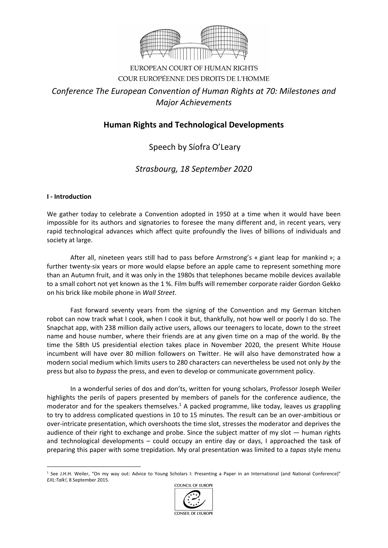

## EUROPEAN COURT OF HUMAN RIGHTS COUR EUROPÉENNE DES DROITS DE L'HOMME

# *Conference The European Convention of Human Rights at 70: Milestones and Major Achievements*

## **Human Rights and Technological Developments**

# Speech by Síofra O'Leary

## *Strasbourg, 18 September 2020*

### **I - Introduction**

We gather today to celebrate a Convention adopted in 1950 at a time when it would have been impossible for its authors and signatories to foresee the many different and, in recent years, very rapid technological advances which affect quite profoundly the lives of billions of individuals and society at large.

After all, nineteen years still had to pass before Armstrong's « giant leap for mankind »; a further twenty-six years or more would elapse before an apple came to represent something more than an Autumn fruit, and it was only in the 1980s that telephones became mobile devices available to a small cohort not yet known as the 1 %. Film buffs will remember corporate raider Gordon Gekko on his brick like mobile phone in *Wall Street*.

Fast forward seventy years from the signing of the Convention and my German kitchen robot can now track what I cook, when I cook it but, thankfully, not how well or poorly I do so. The Snapchat app, with 238 million daily active users, allows our teenagers to locate, down to the street name and house number, where their friends are at any given time on a map of the world. By the time the 58th US presidential election takes place in November 2020, the present White House incumbent will have over 80 million followers on Twitter. He will also have demonstrated how a modern social medium which limits users to 280 characters can nevertheless be used not only *by* the press but also to *bypass* the press, and even to develop or communicate government policy.

In a wonderful series of dos and don'ts, written for young scholars, Professor Joseph Weiler highlights the perils of papers presented by members of panels for the conference audience, the moderator and for the speakers themselves.<sup>1</sup> A packed programme, like today, leaves us grappling to try to address complicated questions in 10 to 15 minutes. The result can be an over-ambitious or over-intricate presentation, which overshoots the time slot, stresses the moderator and deprives the audience of their right to exchange and probe. Since the subject matter of my slot — human rights and technological developments – could occupy an entire day or days, I approached the task of preparing this paper with some trepidation. My oral presentation was limited to a *tapas* style menu

<sup>&</sup>lt;sup>1</sup> See J.H.H. Weiler, "On my way out: Advice to Young Scholars I: Presenting a Paper in an International (and National Conference)" *EJIL:Talk!*, 8 September 2015.

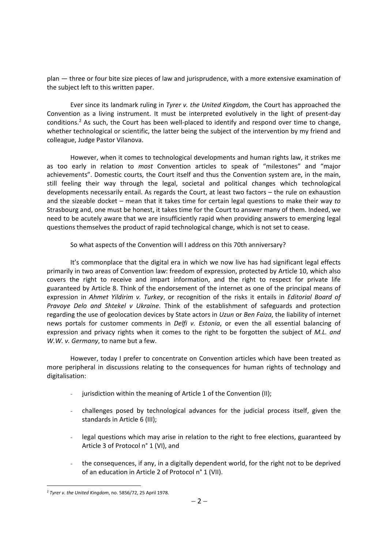plan — three or four bite size pieces of law and jurisprudence, with a more extensive examination of the subject left to this written paper.

Ever since its landmark ruling in *Tyrer v. the United Kingdom*, the Court has approached the Convention as a living instrument. It must be interpreted evolutively in the light of present-day conditions.2 As such, the Court has been well-placed to identify and respond over time to change, whether technological or scientific, the latter being the subject of the intervention by my friend and colleague, Judge Pastor Vilanova.

However, when it comes to technological developments and human rights law, it strikes me as too early in relation to *most* Convention articles to speak of "milestones" and "major achievements". Domestic courts, the Court itself and thus the Convention system are, in the main, still feeling their way through the legal, societal and political changes which technological developments necessarily entail. As regards the Court, at least two factors – the rule on exhaustion and the sizeable docket – mean that it takes time for certain legal questions to make their way *to* Strasbourg and, one must be honest, it takes time for the Court to answer many of them. Indeed, we need to be acutely aware that we are insufficiently rapid when providing answers to emerging legal questions themselves the product of rapid technological change, which is not set to cease.

So what aspects of the Convention will I address on this 70th anniversary?

It's commonplace that the digital era in which we now live has had significant legal effects primarily in two areas of Convention law: freedom of expression, protected by Article 10, which also covers the right to receive and impart information, and the right to respect for private life guaranteed by Article 8. Think of the endorsement of the internet as one of the principal means of expression in *Ahmet Yildirim v. Turkey*, or recognition of the risks it entails in *Editorial Board of Pravoye Delo and Shtekel v Ukraine*. Think of the establishment of safeguards and protection regarding the use of geolocation devices by State actors in *Uzun* or *Ben Faiza*, the liability of internet news portals for customer comments in *Delfi v. Estonia*, or even the all essential balancing of expression and privacy rights when it comes to the right to be forgotten the subject of *M.L. and W.W. v. Germany*, to name but a few.

However, today I prefer to concentrate on Convention articles which have been treated as more peripheral in discussions relating to the consequences for human rights of technology and digitalisation:

- jurisdiction within the meaning of Article 1 of the Convention (II);
- challenges posed by technological advances for the judicial process itself, given the standards in Article 6 (III);
- legal questions which may arise in relation to the right to free elections, guaranteed by Article 3 of Protocol n° 1 (VI), and
- the consequences, if any, in a digitally dependent world, for the right not to be deprived of an education in Article 2 of Protocol n° 1 (VII).

 <sup>2</sup> *Tyrer v. the United Kingdom*, no. 5856/72, 25 April 1978.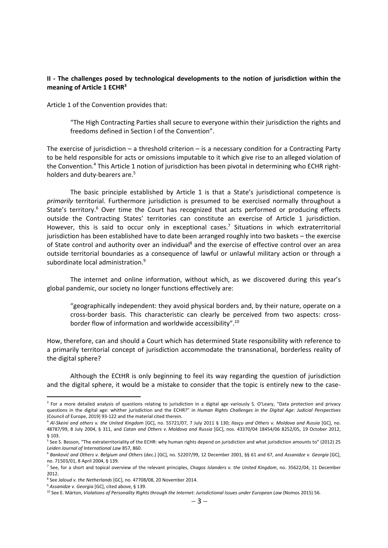### **II - The challenges posed by technological developments to the notion of jurisdiction within the meaning of Article 1 ECHR3**

Article 1 of the Convention provides that:

"The High Contracting Parties shall secure to everyone within their jurisdiction the rights and freedoms defined in Section I of the Convention".

The exercise of jurisdiction – a threshold criterion – is a necessary condition for a Contracting Party to be held responsible for acts or omissions imputable to it which give rise to an alleged violation of the Convention.4 This Article 1 notion of jurisdiction has been pivotal in determining who ECHR rightholders and duty-bearers are.<sup>5</sup>

The basic principle established by Article 1 is that a State's jurisdictional competence is *primarily* territorial. Furthermore jurisdiction is presumed to be exercised normally throughout a State's territory.<sup>6</sup> Over time the Court has recognized that acts performed or producing effects outside the Contracting States' territories can constitute an exercise of Article 1 jurisdiction. However, this is said to occur only in exceptional cases.<sup>7</sup> Situations in which extraterritorial jurisdiction has been established have to date been arranged roughly into two baskets – the exercise of State control and authority over an individual<sup>8</sup> and the exercise of effective control over an area outside territorial boundaries as a consequence of lawful or unlawful military action or through a subordinate local administration.<sup>9</sup>

The internet and online information, without which, as we discovered during this year's global pandemic, our society no longer functions effectively are:

"geographically independent: they avoid physical borders and, by their nature, operate on a cross-border basis. This characteristic can clearly be perceived from two aspects: crossborder flow of information and worldwide accessibility".10

How, therefore, can and should a Court which has determined State responsibility with reference to a primarily territorial concept of jurisdiction accommodate the transnational, borderless reality of the digital sphere?

Although the ECtHR is only beginning to feel its way regarding the question of jurisdiction and the digital sphere, it would be a mistake to consider that the topic is entirely new to the case-

<sup>&</sup>lt;sup>3</sup> For a more detailed analysis of questions relating to jurisdiction in a digital age variously S. O'Leary, "Data protection and privacy questions in the digital age: whither jurisdiction and the ECHR?" in *Human Rights Challenges in the Digital Age: Judicial Perspectives* (Council of Europe, 2019) 93-122 and the material cited therein.

<sup>4</sup> *Al-Skeini and others v. the United Kingdom* [GC], no. 55721/07, 7 July 2011 § 130; *Ilasçu and Others v. Moldova and Russia* [GC], no. 48787/99, 8 July 2004, § 311, and *Catan and Others v. Moldova and Russia* [GC], nos. 43370/04 18454/06 8252/05, 19 October 2012, § 103.

<sup>&</sup>lt;sup>5</sup> See S. Besson, "The extraterritoriality of the ECHR: why human rights depend on jurisdiction and what jurisdiction amounts to" (2012) 25 Leiden Journal of International Law 857, 860.<br><sup>6</sup> Banković and Others v. Belgium and Others (dec.) [GC], no. 52207/99, 12 December 2001, §§ 61 and 67, and *Assanidze v. Georgia* [GC],

no. 71503/01, 8 April 2004, § 139.

<sup>7</sup> See, for a short and topical overview of the relevant principles, *Chagos Islanders v. the United Kingdom*, no. 35622/04, 11 December 2012.

<sup>8</sup> See *Jaloud v. the Netherlands* [GC], no. 47708/08, 20 November 2014.

<sup>9</sup> *Assanidze v. Georgia* [GC], cited above, § 139.

<sup>10</sup> See E. Márton, *Violations of Personality Rights through the Internet: Jurisdictional Issues under European Law* (Nomos 2015) 56.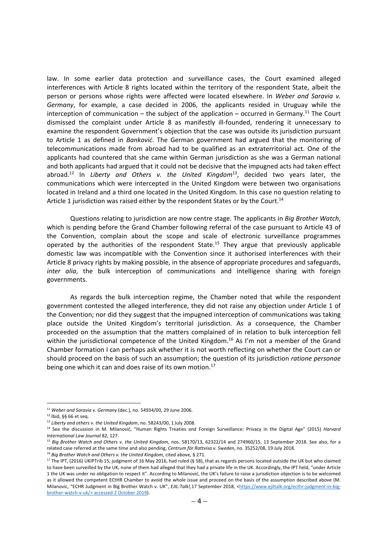law. In some earlier data protection and surveillance cases, the Court examined alleged interferences with Article 8 rights located within the territory of the respondent State, albeit the person or persons whose rights were affected were located elsewhere. In *Weber and Saravia v. Germany*, for example, a case decided in 2006, the applicants resided in Uruguay while the interception of communication – the subject of the application – occurred in Germany.<sup>11</sup> The Court dismissed the complaint under Article 8 as manifestly ill-founded, rendering it unnecessary to examine the respondent Government's objection that the case was outside its jurisdiction pursuant to Article 1 as defined in *Banković*. The German government had argued that the monitoring of telecommunications made from abroad had to be qualified as an extraterritorial act. One of the applicants had countered that she came within German jurisdiction as she was a German national and both applicants had argued that it could not be decisive that the impugned acts had taken effect abroad.12 In *Liberty and Others v. the United Kingdom*13, decided two years later, the communications which were intercepted in the United Kingdom were between two organisations located in Ireland and a third one located in the United Kingdom. In this case no question relating to Article 1 jurisdiction was raised either by the respondent States or by the Court.<sup>14</sup>

Questions relating to jurisdiction are now centre stage. The applicants in *Big Brother Watch*, which is pending before the Grand Chamber following referral of the case pursuant to Article 43 of the Convention, complain about the scope and scale of electronic surveillance programmes operated by the authorities of the respondent State.<sup>15</sup> They argue that previously applicable domestic law was incompatible with the Convention since it authorised interferences with their Article 8 privacy rights by making possible, in the absence of appropriate procedures and safeguards, *inter alia*, the bulk interception of communications and intelligence sharing with foreign governments.

As regards the bulk interception regime, the Chamber noted that while the respondent government contested the alleged interference, they did not raise any objection under Article 1 of the Convention; nor did they suggest that the impugned interception of communications was taking place outside the United Kingdom's territorial jurisdiction. As a consequence, the Chamber proceeded on the assumption that the matters complained of in relation to bulk interception fell within the jurisdictional competence of the United Kingdom.<sup>16</sup> As I'm not a member of the Grand Chamber formation I can perhaps ask whether it is not worth reflecting on whether the Court can or should proceed on the basis of such an assumption; the question of its jurisdiction *ratione personae* being one which it can and does raise of its own motion.<sup>17</sup>

<sup>&</sup>lt;sup>11</sup> Weber and Saravia v. Germany (dec.), no. 54934/00, 29 June 2006.<br><sup>12</sup> Ibid, §§ 66 et seq.<br><sup>13</sup> Liberty and others v. the United Kingdom, no. 58243/00, 1 July 2008.<br><sup>14</sup> See the discussion in M. Milanović, "Human Right *International Law Journal* 82, 127.

<sup>15</sup> *Big Brother Watch and Others v. the United Kingdom*, nos. 58170/13, 62322/14 and 274960/15, 13 September 2018. See also, for a related case referred at the same time and also pending, *Centrum för Rattvisa v. Sweden*, no. 35252/08, 19 July 2018.

<sup>16</sup> *Big Brother Watch and Others v. the United Kingdom*, cited above, § 271.

<sup>&</sup>lt;sup>17</sup> The IPT, (2016) UKIPTrib 15, judgment of 16 May 2016, had ruled (§ 58), that as regards persons located outside the UK but who claimed to have been surveilled by the UK, none of them had alleged that they had a private life in the UK. Accordingly, the IPT held, "under Article 1 the UK was under no obligation to respect it". According to Milanović, the UK's failure to raise a jurisdiction objection is to be welcomed as it allowed the competent ECtHR Chamber to avoid the whole issue and proceed on the basis of the assumption described above (M. Milanovic, "ECHR Judgment in Big Brother Watch v. UK", *EJIL:Talk!,*17 September 2018, [<https://www.ejiltalk.org/ecthr-judgment-in-big](https://www.ejiltalk.org/ecthr-judgment-in-big-brother-watch-v-uk/)[brother-watch-v-uk/>](https://www.ejiltalk.org/ecthr-judgment-in-big-brother-watch-v-uk/) accessed 2 October 2019).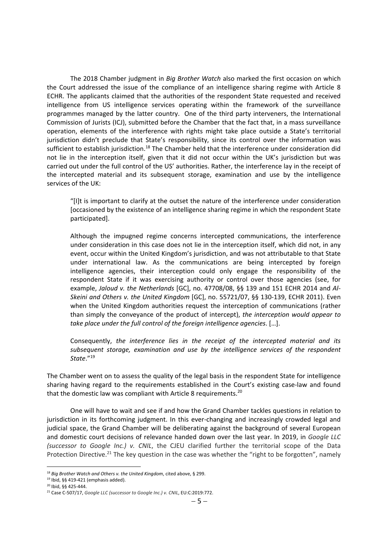The 2018 Chamber judgment in *Big Brother Watch* also marked the first occasion on which the Court addressed the issue of the compliance of an intelligence sharing regime with Article 8 ECHR. The applicants claimed that the authorities of the respondent State requested and received intelligence from US intelligence services operating within the framework of the surveillance programmes managed by the latter country. One of the third party interveners, the International Commission of Jurists (ICJ), submitted before the Chamber that the fact that, in a mass surveillance operation, elements of the interference with rights might take place outside a State's territorial jurisdiction didn't preclude that State's responsibility, since its control over the information was sufficient to establish jurisdiction.<sup>18</sup> The Chamber held that the interference under consideration did not lie in the interception itself, given that it did not occur within the UK's jurisdiction but was carried out under the full control of the US' authorities. Rather, the interference lay in the receipt of the intercepted material and its subsequent storage, examination and use by the intelligence services of the UK:

"[I]t is important to clarify at the outset the nature of the interference under consideration [occasioned by the existence of an intelligence sharing regime in which the respondent State participated].

Although the impugned regime concerns intercepted communications, the interference under consideration in this case does not lie in the interception itself, which did not, in any event, occur within the United Kingdom's jurisdiction, and was not attributable to that State under international law. As the communications are being intercepted by foreign intelligence agencies, their interception could only engage the responsibility of the respondent State if it was exercising authority or control over those agencies (see, for example, *Jaloud v. the Netherlands* [GC], no. 47708/08, §§ 139 and 151 ECHR 2014 and *Al-Skeini and Others v. the United Kingdom* [GC], no. 55721/07, §§ 130-139, ECHR 2011). Even when the United Kingdom authorities request the interception of communications (rather than simply the conveyance of the product of intercept), *the interception would appear to take place under the full control of the foreign intelligence agencies*. […].

Consequently, *the interference lies in the receipt of the intercepted material and its subsequent storage, examination and use by the intelligence services of the respondent State*."19

The Chamber went on to assess the quality of the legal basis in the respondent State for intelligence sharing having regard to the requirements established in the Court's existing case-law and found that the domestic law was compliant with Article 8 requirements.<sup>20</sup>

One will have to wait and see if and how the Grand Chamber tackles questions in relation to jurisdiction in its forthcoming judgment. In this ever-changing and increasingly crowded legal and judicial space, the Grand Chamber will be deliberating against the background of several European and domestic court decisions of relevance handed down over the last year. In 2019, in *Google LLC (successor to Google Inc.) v. CNIL*, the CJEU clarified further the territorial scope of the Data Protection Directive.<sup>21</sup> The key question in the case was whether the "right to be forgotten", namely

 <sup>18</sup> *Big Brother Watch and Others v. the United Kingdom*, cited above, § 299.

<sup>19</sup> Ibid, §§ 419-421 (emphasis added).

<sup>20</sup> Ibid, §§ 425-444.

<sup>21</sup> Case C-507/17, *Google LLC (successor to Google Inc.) v. CNIL*, EU:C:2019:772.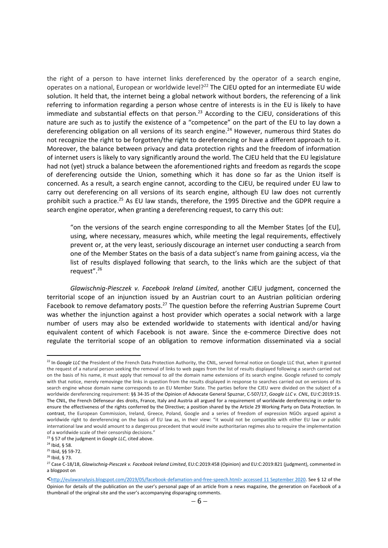the right of a person to have internet links dereferenced by the operator of a search engine, operates on a national, European or worldwide level?<sup>22</sup> The CJEU opted for an intermediate EU wide solution. It held that, the internet being a global network without borders, the referencing of a link referring to information regarding a person whose centre of interests is in the EU is likely to have immediate and substantial effects on that person.<sup>23</sup> According to the CJEU, considerations of this nature are such as to justify the existence of a "competence" on the part of the EU to lay down a dereferencing obligation on all versions of its search engine.<sup>24</sup> However, numerous third States do not recognize the right to be forgotten/the right to dereferencing or have a different approach to it. Moreover, the balance between privacy and data protection rights and the freedom of information of internet users is likely to vary significantly around the world. The CJEU held that the EU legislature had not (yet) struck a balance between the aforementioned rights and freedom as regards the scope of dereferencing outside the Union, something which it has done so far as the Union itself is concerned. As a result, a search engine cannot, according to the CJEU, be required under EU law to carry out dereferencing on all versions of its search engine, although EU law does not currently prohibit such a practice.<sup>25</sup> As EU law stands, therefore, the 1995 Directive and the GDPR require a search engine operator, when granting a dereferencing request, to carry this out:

"on the versions of the search engine corresponding to all the Member States [of the EU], using, where necessary, measures which, while meeting the legal requirements, effectively prevent or, at the very least, seriously discourage an internet user conducting a search from one of the Member States on the basis of a data subject's name from gaining access, via the list of results displayed following that search, to the links which are the subject of that request".26

*Glawischnig-Piesczek v. Facebook Ireland Limited*, another CJEU judgment, concerned the territorial scope of an injunction issued by an Austrian court to an Austrian politician ordering Facebook to remove defamatory posts.<sup>27</sup> The question before the referring Austrian Supreme Court was whether the injunction against a host provider which operates a social network with a large number of users may also be extended worldwide to statements with identical and/or having equivalent content of which Facebook is not aware. Since the e-commerce Directive does not regulate the territorial scope of an obligation to remove information disseminated via a social

<sup>&</sup>lt;sup>22</sup> In *Google LLC* the President of the French Data Protection Authority, the CNIL, served formal notice on Google LLC that, when it granted the request of a natural person seeking the removal of links to web pages from the list of results displayed following a search carried out on the basis of his name, it must apply that removal to *all* the domain name extensions of its search engine. Google refused to comply with that notice, merely removinge the links in question from the results displayed in response to searches carried out on versions of its search engine whose domain name corresponds to an EU Member State. The parties before the CJEU were divided on the subject of a worldwide dereferencing requirement: §§ 34-35 of the Opinion of Advocate General Spuznar, C-507/17, *Google LLC v. CNIL*, EU:C:2019:15. The CNIL, the French Défenseur des droits, France, Italy and Austria all argued for a requirement of worldwide dereferencing in order to ensure the effectiveness of the rights conferred by the Directive; a position shared by the Article 29 Working Party on Data Protection. In contrast, the European Commission, Ireland, Greece, Poland, Google and a series of freedom of expression NGOs argued against a worldwide right to dereferencing on the basis of EU law as, in their view: "it would not be compatible with either EU law or public international law and would amount to a dangerous precedent that would invite authoritarian regimes also to require the implementation of a worldwide scale of their censorship decisions."

<sup>23</sup> § 57 of the judgment in *Google LLC*, cited above.

<sup>24</sup> Ibid, § 58.

 $^{25}$  Ibid, §§ 59-72.<br> $^{26}$  Ibid, § 73.

<sup>&</sup>lt;sup>27</sup> Case C-18/18, *Glawischnig-Piesczek v. Facebook Ireland Limited*, EU:C:2019:458 (Opinion) and EU:C:2019:821 (judgment), commented in a blogpost on

[<sup>&</sup>lt;http://eulawanalysis.blogspot.com/2019/05/facebook-defamation-and-free-speech.html>](http://eulawanalysis.blogspot.com/2019/05/facebook-defamation-and-free-speech.html) accessed 11 September 2020. See § 12 of the Opinion for details of the publication on the user's personal page of an article from a news magazine, the generation on Facebook of a thumbnail of the original site and the user's accompanying disparaging comments.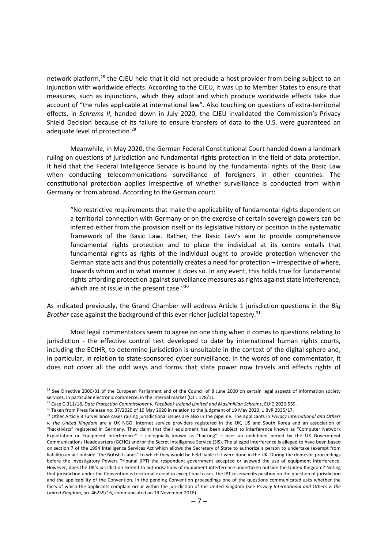network platform,<sup>28</sup> the CJEU held that it did not preclude a host provider from being subject to an injunction with worldwide effects. According to the CJEU, it was up to Member States to ensure that measures, such as injunctions, which they adopt and which produce worldwide effects take due account of "the rules applicable at international law". Also touching on questions of extra-territorial effects, in *Schrems II*, handed down in July 2020, the CJEU invalidated the Commission's Privacy Shield Decision because of its failure to ensure transfers of data to the U.S. were guaranteed an adequate level of protection.<sup>29</sup>

Meanwhile, in May 2020, the German Federal Constitutional Court handed down a landmark ruling on questions of jurisdiction and fundamental rights protection in the field of data protection. It held that the Federal Intelligence Service is bound by the fundamental rights of the Basic Law when conducting telecommunications surveillance of foreigners in other countries. The constitutional protection applies irrespective of whether surveillance is conducted from within Germany or from abroad. According to the German court:

"No restrictive requirements that make the applicability of fundamental rights dependent on a territorial connection with Germany or on the exercise of certain sovereign powers can be inferred either from the provision itself or its legislative history or position in the systematic framework of the Basic Law. Rather, the Basic Law's aim to provide comprehensive fundamental rights protection and to place the individual at its centre entails that fundamental rights as rights of the individual ought to provide protection whenever the German state acts and thus potentially creates a need for protection – irrespective of where, towards whom and in what manner it does so. In any event, this holds true for fundamental rights affording protection against surveillance measures as rights against state interference, which are at issue in the present case."<sup>30</sup>

As indicated previously, the Grand Chamber will address Article 1 jurisdiction questions in the *Big Brother* case against the background of this ever richer judicial tapestry. 31

Most legal commentators seem to agree on one thing when it comes to questions relating to jurisdiction - the effective control test developed to date by international human rights courts, including the ECtHR, to determine jurisdiction is unsuitable in the context of the digital sphere and, in particular, in relation to state-sponsored cyber surveillance. In the words of one commentator, it does not cover all the odd ways and forms that state power now travels and effects rights of

 $28$  See Directive 2000/31 of the European Parliament and of the Council of 8 June 2000 on certain legal aspects of information society services, in particular electronic commerce, in the internal market (OJ L 178/1).

<sup>29</sup> Case C-311/18, *Data Protection Commissioner v. Facebook Ireland Limited and Maximillian Schrems*, EU:C:2020:559.

<sup>&</sup>lt;sup>30</sup> Taken from Press Release no. 37/2020 of 19 May 2020 in relation to the judgment of 19 May 2020, 1 BvR 2835/17.

<sup>31</sup> Other Article 8 surveillance cases raising jurisdictional issues are also in the pipeline. The applicants in *Privacy International and Others v. the United Kingdom* are a UK NGO, internet service providers registered in the UK, US and South Korea and an association of "hacktivists" registered in Germany. They claim that their equipment has been subject to interference known as "Computer Network Exploitation or Equipment Interference" – colloquially known as "hacking" – over an undefined period by the UK Government Communications Headquarters (GCHQ) and/or the Secret Intelligence Service (SIS). The alleged interference is alleged to have been based on section 7 of the 1994 Intelligence Services Act which allows the Secretary of State to authorize a person to undertake (exempt from liability) an act outside "the British Islands" to which they would be held liable if it were done in the UK. During the domestic proceedings before the Investigatory Powers Tribunal (IPT) the respondent government accepted or avowed the use of equipment interference. However, does the UK's jurisdiction extend to authorisations of equipment interference undertaken outside the United Kingdom? Noting that jurisdiction under the Convention is territorial except in exceptional cases, the IPT reserved its position on the question of jurisdiction and the applicability of the Convention. In the pending Convention proceedings one of the questions communicated asks whether the facts of which the applicants complain occur within the jurisdiction of the United Kingdom (See *Privacy International and Others v. the United Kingdom*, no. 46259/16, communicated on 19 November 2018).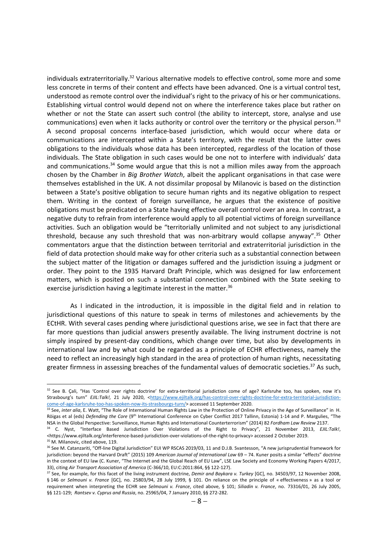individuals extraterritorially.<sup>32</sup> Various alternative models to effective control, some more and some less concrete in terms of their content and effects have been advanced. One is a virtual control test, understood as remote control over the individual's right to the privacy of his or her communications. Establishing virtual control would depend not on where the interference takes place but rather on whether or not the State can assert such control (the ability to intercept, store, analyse and use communications) even when it lacks authority or control over the territory or the physical person.<sup>33</sup> A second proposal concerns interface-based jurisdiction, which would occur where data or communications are intercepted within a State's territory, with the result that the latter owes obligations to the individuals whose data has been intercepted, regardless of the location of those individuals. The State obligation in such cases would be one not to interfere with individuals' data and communications.<sup>34</sup> Some would argue that this is not a million miles away from the approach chosen by the Chamber in *Big Brother Watch*, albeit the applicant organisations in that case were themselves established in the UK. A not dissimilar proposal by Milanovic is based on the distinction between a State's positive obligation to secure human rights and its negative obligation to respect them. Writing in the context of foreign surveillance, he argues that the existence of positive obligations must be predicated on a State having effective overall control over an area. In contrast, a negative duty to refrain from interference would apply to all potential victims of foreign surveillance activities. Such an obligation would be "territorially unlimited and not subject to any jurisdictional threshold, because any such threshold that was non-arbitrary would collapse anyway".<sup>35</sup> Other commentators argue that the distinction between territorial and extraterritorial jurisdiction in the field of data protection should make way for other criteria such as a substantial connection between the subject matter of the litigation or damages suffered and the jurisdiction issuing a judgment or order. They point to the 1935 Harvard Draft Principle, which was designed for law enforcement matters, which is posited on such a substantial connection combined with the State seeking to exercise jurisdiction having a legitimate interest in the matter.<sup>36</sup>

As I indicated in the introduction, it is impossible in the digital field and in relation to jurisdictional questions of this nature to speak in terms of milestones and achievements by the ECtHR. With several cases pending where jurisdictional questions arise, we see in fact that there are far more questions than judicial answers presently available. The living instrument doctrine is not simply inspired by present-day conditions, which change over time, but also by developments in international law and by what could be regarded as a principle of ECHR effectiveness, namely the need to reflect an increasingly high standard in the area of protection of human rights, necessitating greater firmness in assessing breaches of the fundamental values of democratic societies.<sup>37</sup> As such,

<sup>32</sup> See B. Çali, "Has 'Control over rights doctrine' for extra-territorial jurisdiction come of age? Karlsruhe too, has spoken, now it's Strasbourg's turn" *EJIL:Talk!,* 21 July 2020, [<https://www.ejiltalk.org/has-control-over-rights-doctrine-for-extra-territorial-jurisdiction](https://www.ejiltalk.org/has-control-over-rights-doctrine-for-extra-territorial-jurisdiction-come-of-age-karlsruhe-too-has-spoken-now-its-strasbourgs-turn/)[come-of-age-karlsruhe-too-has-spoken-now-its-strasbourgs-turn/>](https://www.ejiltalk.org/has-control-over-rights-doctrine-for-extra-territorial-jurisdiction-come-of-age-karlsruhe-too-has-spoken-now-its-strasbourgs-turn/) accessed 11 September 2020.

<sup>&</sup>lt;sup>33</sup> See, *inter alia*, E. Watt, "The Role of International Human Rights Law in the Protection of Online Privacy in the Age of Surveillance" in H. Röigas et al (eds) *Defending the Core* (9<sup>th</sup> International Conference on Cyber Conflict 2017 Tallinn, Estonia) 1-14 and P. Margulies, "The NSA in the Global Perspective: Surveillance, Human Rights and International Counterterrorism" (2014) 82 *Fordham Law Review* 2137.

<sup>34</sup> C. Nyst, "Interface Based Jurisdiction Over Violations of the Right to Privacy", 21 November 2013, *EJIL:Talk!*, <https://www.ejiltalk.org/interference-based-jurisdiction-over-violations-of-the-right-to-privacy> accessed 2 October 2019. <sup>35</sup> M. Milanovic, cited above, 119.

<sup>&</sup>lt;sup>36</sup> See M. Catanzariti, "Off-line Digital Jurisdiction" EUI WP RSCAS 2019/03, 11 and D.J.B. Svantesson, "A new jurisprudential framework for jurisdiction: beyond the Harvard Draft" (2015) 109 *American Journal of International Law* 69 – 74. Kuner posits a similar "effects" doctrine in the context of EU law (C. Kuner, "The Internet and the Global Reach of EU Law", LSE Law Society and Economy Working Papers 4/2017, 33), citing Air Transport Association of America (C-366/10, EU:C:2011:864, §§ 122-127).<br><sup>37</sup> See, for example, for this facet of the living instrument doctrine, *Demir and Baykara v. Turkey* [GC], no. 34503/97, 12 November

<sup>§</sup> 146 or *Selmouni v. France* [GC], no. 25803/94, 28 July 1999, § 101. On reliance on the principle of « effectiveness » as a tool or requirement when interpreting the ECHR see *Selmouni v. France*, cited above, § 101; *Siliadin v. France*, no. 73316/01, 26 July 2005, §§ 121-129; *Rantsev v. Cyprus and Russia*, no. 25965/04, 7 January 2010, §§ 272-282.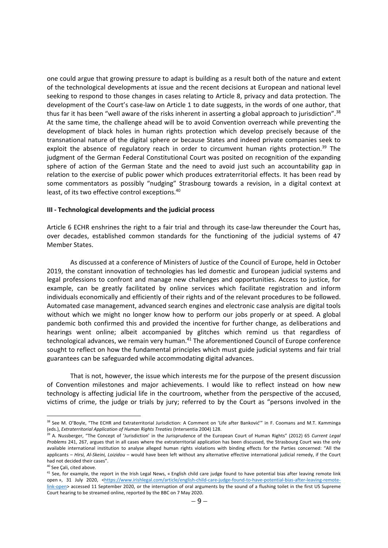one could argue that growing pressure to adapt is building as a result both of the nature and extent of the technological developments at issue and the recent decisions at European and national level seeking to respond to those changes in cases relating to Article 8, privacy and data protection. The development of the Court's case-law on Article 1 to date suggests, in the words of one author, that thus far it has been "well aware of the risks inherent in asserting a global approach to jurisdiction".<sup>38</sup> At the same time, the challenge ahead will be to avoid Convention overreach while preventing the development of black holes in human rights protection which develop precisely because of the transnational nature of the digital sphere or because States and indeed private companies seek to exploit the absence of regulatory reach in order to circumvent human rights protection.<sup>39</sup> The judgment of the German Federal Constitutional Court was posited on recognition of the expanding sphere of action of the German State and the need to avoid just such an accountability gap in relation to the exercise of public power which produces extraterritorial effects. It has been read by some commentators as possibly "nudging" Strasbourg towards a revision, in a digital context at least, of its two effective control exceptions.<sup>40</sup>

#### **III - Technological developments and the judicial process**

Article 6 ECHR enshrines the right to a fair trial and through its case-law thereunder the Court has, over decades, established common standards for the functioning of the judicial systems of 47 Member States.

As discussed at a conference of Ministers of Justice of the Council of Europe, held in October 2019, the constant innovation of technologies has led domestic and European judicial systems and legal professions to confront and manage new challenges and opportunities. Access to justice, for example, can be greatly facilitated by online services which facilitate registration and inform individuals economically and efficiently of their rights and of the relevant procedures to be followed. Automated case management, advanced search engines and electronic case analysis are digital tools without which we might no longer know how to perform our jobs properly or at speed. A global pandemic both confirmed this and provided the incentive for further change, as deliberations and hearings went online; albeit accompanied by glitches which remind us that regardless of technological advances, we remain very human.<sup>41</sup> The aforementioned Council of Europe conference sought to reflect on how the fundamental principles which must guide judicial systems and fair trial guarantees can be safeguarded while accommodating digital advances.

That is not, however, the issue which interests me for the purpose of the present discussion of Convention milestones and major achievements. I would like to reflect instead on how new technology is affecting judicial life in the courtroom, whether from the perspective of the accused, victims of crime, the judge or trials by jury; referred to by the Court as "persons involved in the

<sup>&</sup>lt;sup>38</sup> See M. O'Boyle, "The ECHR and Extraterritorial Jurisdiction: A Comment on 'Life after Banković'" in F. Coomans and M.T. Kamminga (eds.), *Extraterritorial Application of Human Rights Treaties* (Intersentia 2004) 128.

<sup>39</sup> A. Nussberger, "The Concept of 'Jurisdiction' in the Jurisprudence of the European Court of Human Rights" (2012) 65 *Current Legal Problems* 241, 267, argues that in all cases where the extraterritorial application has been discussed, the Strasbourg Court was the only available international institution to analyse alleged human rights violations with binding effects for the Parties concerned: "All the applicants - Hirsi, Al-Skeini, Loizidou - would have been left without any alternative effective international judicial remedy, if the Court had not decided their cases".

<sup>40</sup> See Çali, cited above.

<sup>&</sup>lt;sup>41</sup> See, for example, the report in the Irish Legal News, « English child care judge found to have potential bias after leaving remote link open », 31 July 2020, [<https://www.irishlegal.com/article/english-child-care-judge-found-to-have-potential-bias-after-leaving-remote](https://www.irishlegal.com/article/english-child-care-judge-found-to-have-potential-bias-after-leaving-remote-link-open)[link-open>](https://www.irishlegal.com/article/english-child-care-judge-found-to-have-potential-bias-after-leaving-remote-link-open) accessed 11 September 2020, or the interruption of oral arguments by the sound of a flushing toilet in the first US Supreme Court hearing to be streamed online, reported by the BBC on 7 May 2020.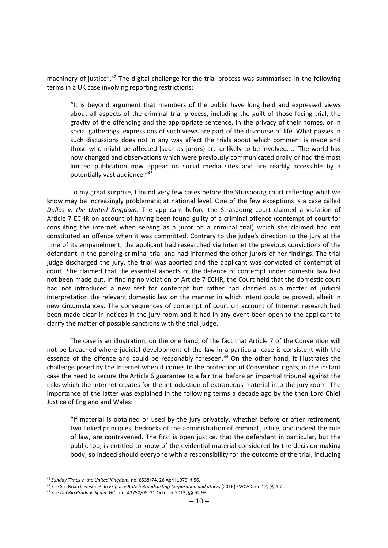machinery of justice".<sup>42</sup> The digital challenge for the trial process was summarised in the following terms in a UK case involving reporting restrictions:

"It is beyond argument that members of the public have long held and expressed views about all aspects of the criminal trial process, including the guilt of those facing trial, the gravity of the offending and the appropriate sentence. In the privacy of their homes, or in social gatherings, expressions of such views are part of the discourse of life. What passes in such discussions does not in any way affect the trials about which comment is made and those who might be affected (such as jurors) are unlikely to be involved. … The world has now changed and observations which were previously communicated orally or had the most limited publication now appear on social media sites and are readily accessible by a potentially vast audience."43

To my great surprise, I found very few cases before the Strasbourg court reflecting what we know may be increasingly problematic at national level. One of the few exceptions is a case called *Dallas v. the United Kingdom*. The applicant before the Strasbourg court claimed a violation of Article 7 ECHR on account of having been found guilty of a criminal offence (contempt of court for consulting the internet when serving as a juror on a criminal trial) which she claimed had not constituted an offence when it was committed. Contrary to the judge's direction to the jury at the time of its empanelment, the applicant had researched via Internet the previous convictions of the defendant in the pending criminal trial and had informed the other jurors of her findings. The trial judge discharged the jury, the trial was aborted and the applicant was convicted of contempt of court. She claimed that the essential aspects of the defence of contempt under domestic law had not been made out. In finding no violation of Article 7 ECHR, the Court held that the domestic court had not introduced a new test for contempt but rather had clarified as a matter of judicial interpretation the relevant domestic law on the manner in which intent could be proved, albeit in new circumstances. The consequences of contempt of court on account of Internet research had been made clear in notices in the jury room and it had in any event been open to the applicant to clarify the matter of possible sanctions with the trial judge.

The case is an illustration, on the one hand, of the fact that Article 7 of the Convention will not be breached where judicial development of the law in a particular case is consistent with the essence of the offence and could be reasonably foreseen.<sup>44</sup> On the other hand, it illustrates the challenge posed by the Internet when it comes to the protection of Convention rights, in the instant case the need to secure the Article 6 guarantee to a fair trial before an impartial tribunal against the risks which the Internet creates for the introduction of extraneous material into the jury room. The importance of the latter was explained in the following terms a decade ago by the then Lord Chief Justice of England and Wales:

"If material is obtained or used by the jury privately, whether before or after retirement, two linked principles, bedrocks of the administration of criminal justice, and indeed the rule of law, are contravened. The first is open justice, that the defendant in particular, but the public too, is entitled to know of the evidential material considered by the decision making body; so indeed should everyone with a responsibility for the outcome of the trial, including

 <sup>42</sup> *Sunday Times v. the United Kingdom,* no. 6538/74, 26 April 1979, § 56.

<sup>43</sup> See Sir. Brian Leveson P. in *Ex parte British Broadcasting Corporation and others* [2016] EWCA Crim 12, §§ 1-2.

<sup>44</sup> See *Del Rio Prada v. Spain* [GC], no. 42750/09, 21 October 2013, §§ 92-93.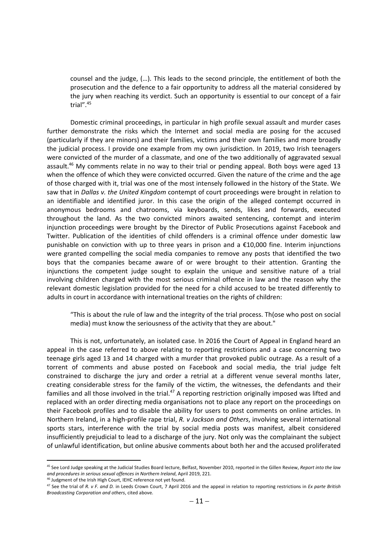counsel and the judge, (…). This leads to the second principle, the entitlement of both the prosecution and the defence to a fair opportunity to address all the material considered by the jury when reaching its verdict. Such an opportunity is essential to our concept of a fair trial".45

Domestic criminal proceedings, in particular in high profile sexual assault and murder cases further demonstrate the risks which the Internet and social media are posing for the accused (particularly if they are minors) and their families, victims and their own families and more broadly the judicial process. I provide one example from my own jurisdiction. In 2019, two Irish teenagers were convicted of the murder of a classmate, and one of the two additionally of aggravated sexual assault.<sup>46</sup> My comments relate in no way to their trial or pending appeal. Both boys were aged 13 when the offence of which they were convicted occurred. Given the nature of the crime and the age of those charged with it, trial was one of the most intensely followed in the history of the State. We saw that in *Dallas v. the United Kingdom* contempt of court proceedings were brought in relation to an identifiable and identified juror. In this case the origin of the alleged contempt occurred in anonymous bedrooms and chatrooms, via keyboards, sends, likes and forwards, executed throughout the land. As the two convicted minors awaited sentencing, contempt and interim injunction proceedings were brought by the Director of Public Prosecutions against Facebook and Twitter. Publication of the identities of child offenders is a criminal offence under domestic law punishable on conviction with up to three years in prison and a €10,000 fine. Interim injunctions were granted compelling the social media companies to remove any posts that identified the two boys that the companies became aware of or were brought to their attention. Granting the injunctions the competent judge sought to explain the unique and sensitive nature of a trial involving children charged with the most serious criminal offence in law and the reason why the relevant domestic legislation provided for the need for a child accused to be treated differently to adults in court in accordance with international treaties on the rights of children:

"This is about the rule of law and the integrity of the trial process. Th(ose who post on social media) must know the seriousness of the activity that they are about."

This is not, unfortunately, an isolated case. In 2016 the Court of Appeal in England heard an appeal in the case referred to above relating to reporting restrictions and a case concerning two teenage girls aged 13 and 14 charged with a murder that provoked public outrage. As a result of a torrent of comments and abuse posted on Facebook and social media, the trial judge felt constrained to discharge the jury and order a retrial at a different venue several months later, creating considerable stress for the family of the victim, the witnesses, the defendants and their families and all those involved in the trial.<sup>47</sup> A reporting restriction originally imposed was lifted and replaced with an order directing media organisations not to place any report on the proceedings on their Facebook profiles and to disable the ability for users to post comments on online articles. In Northern Ireland, in a high-profile rape trial, *R. v Jackson and Others*, involving several international sports stars, interference with the trial by social media posts was manifest, albeit considered insufficiently prejudicial to lead to a discharge of the jury. Not only was the complainant the subject of unlawful identification, but online abusive comments about both her and the accused proliferated

 <sup>45</sup> See Lord Judge speaking at the Judicial Studies Board lecture, Belfast, November 2010, reported in the Gillen Review, *Report into the law and procedures in serious sexual offences in Northern Ireland*, April 2019, 221.

<sup>46</sup> Judgment of the Irish High Court, IEHC reference not yet found.

<sup>47</sup> See the trial of *R. v F. and D.* in Leeds Crown Court, 7 April 2016 and the appeal in relation to reporting restrictions in *Ex parte British Broadcasting Corporation and others*, cited above.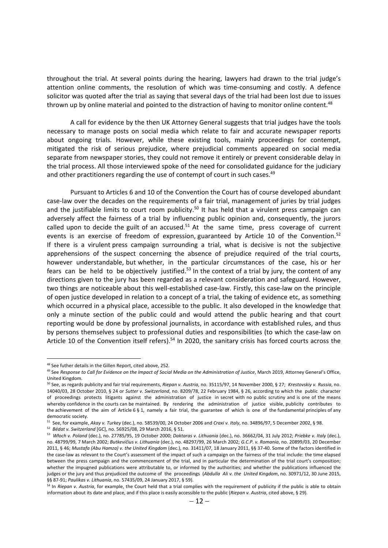throughout the trial. At several points during the hearing, lawyers had drawn to the trial judge's attention online comments, the resolution of which was time-consuming and costly. A defence solicitor was quoted after the trial as saying that several days of the trial had been lost due to issues thrown up by online material and pointed to the distraction of having to monitor online content.<sup>48</sup>

A call for evidence by the then UK Attorney General suggests that trial judges have the tools necessary to manage posts on social media which relate to fair and accurate newspaper reports about ongoing trials. However, while these existing tools, mainly proceedings for contempt, mitigated the risk of serious prejudice, where prejudicial comments appeared on social media separate from newspaper stories, they could not remove it entirely or prevent considerable delay in the trial process. All those interviewed spoke of the need for consolidated guidance for the judiciary and other practitioners regarding the use of contempt of court in such cases.<sup>49</sup>

Pursuant to Articles 6 and 10 of the Convention the Court has of course developed abundant case-law over the decades on the requirements of a fair trial, management of juries by trial judges and the justifiable limits to court room publicity.<sup>50</sup> It has held that a virulent press campaign can adversely affect the fairness of a trial by influencing public opinion and, consequently, the jurors called upon to decide the guilt of an accused. $51$  At the same time, press coverage of current events is an exercise of freedom of expression, guaranteed by Article 10 of the Convention.<sup>52</sup> If there is a virulent press campaign surrounding a trial, what is decisive is not the subjective apprehensions of the suspect concerning the absence of prejudice required of the trial courts, however understandable, but whether, in the particular circumstances of the case, his or her fears can be held to be objectively justified.<sup>53</sup> In the context of a trial by jury, the content of any directions given to the jury has been regarded as a relevant consideration and safeguard. However, two things are noticeable about this well-established case-law. Firstly, this case-law on the principle of open justice developed in relation to a concept of a trial, the taking of evidence etc, as something which occurred in a physical place, accessible to the public. It also developed in the knowledge that only a minute section of the public could and would attend the public hearing and that court reporting would be done by professional journalists, in accordance with established rules, and thus by persons themselves subject to professional duties and responsibilities (to which the case-law on Article 10 of the Convention itself refers).<sup>54</sup> In 2020, the sanitary crisis has forced courts across the

 <sup>48</sup> See futher details in the Gillen Report, cited above, 252.

<sup>49</sup> See *Response to Call for Evidence on the Impact of Social Media on the Administration of Justice*, March 2019, Attorney General's Office, United Kingdom.

<sup>50</sup> See, as regards publicity and fair trial requirements, *Riepan v. Austria*, no. 35115/97, 14 November 2000, § 27; *Krestovskiy v. Russia*, no. 14040/03, 28 October 2010, § 24 or *Sutter v. Switzerland*, no. 8209/78, 22 February 1984, § 26, according to which the public character of proceedings protects litigants against the administration of justice in secret with no public scrutiny and is one of the means whereby confidence in the courts can be maintained. By rendering the administration of justice visible, publicity contributes to the achievement of the aim of Article 6 § 1, namely a fair trial, the guarantee of which is one of the fundamental principles of any democratic society.

<sup>51</sup> See, for example, *Akay v. Turkey* (dec.), no. 58539/00, 24 October 2006 and *Craxi v. Italy*, no. 34896/97, 5 December 2002, § 98.

<sup>52</sup> *Bédat v. Switzerland* [GC], no. 56925/08, 29 March 2016, § 51.

<sup>53</sup> *Włoch v. Poland* (dec.), no. 27785/95, 19 October 2000; *Daktaras v. Lithuania* (dec.), no. 36662/04, 31 July 2012; *Priebke v. Italy* (dec.), no. 48799/99, 7 March 2002; *Butkevičius v. Lithuania* (dec.), no. 48297/99, 26 March 2002; *G.C.P. v. Romania*, no. 20899/03, 20 December 2011, § 46; *Mustafa (Abu Hamza) v. the United Kingdom* (dec.), no. 31411/07, 18 January 2011, §§ 37-40. Some of the factors identified in the case-law as relevant to the Court's assessment of the impact of such a campaign on the fairness of the trial include: the time elapsed between the press campaign and the commencement of the trial, and in particular the determination of the trial court's composition; whether the impugned publications were attributable to, or informed by the authorities; and whether the publications influenced the judges or the jury and thus prejudiced the outcome of the proceedings (*Abdulla Ali v. the United Kingdom*, no. 30971/12, 30 June 2015, §§ 87-91; *Paulikas v. Lithuania*, no. 57435/09, 24 January 2017, § 59).

<sup>&</sup>lt;sup>54</sup> In *Riepan v. Austria*, for example, the Court held that a trial complies with the requirement of publicity if the public is able to obtain information about its date and place, and if this place is easily accessible to the public (*Riepan v. Austria*, cited above, § 29).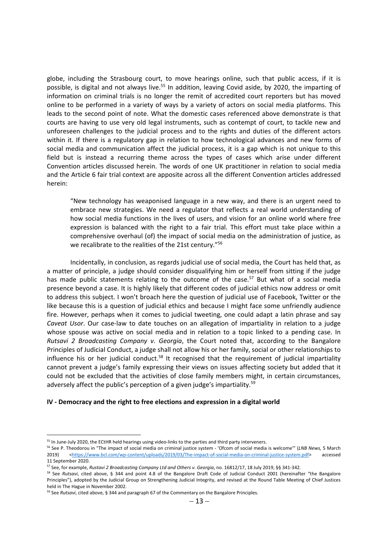globe, including the Strasbourg court, to move hearings online, such that public access, if it is possible, is digital and not always live.<sup>55</sup> In addition, leaving Covid aside, by 2020, the imparting of information on criminal trials is no longer the remit of accredited court reporters but has moved online to be performed in a variety of ways by a variety of actors on social media platforms. This leads to the second point of note. What the domestic cases referenced above demonstrate is that courts are having to use very old legal instruments, such as contempt of court, to tackle new and unforeseen challenges to the judicial process and to the rights and duties of the different actors within it. If there is a regulatory gap in relation to how technological advances and new forms of social media and communication affect the judicial process, it is a gap which is not unique to this field but is instead a recurring theme across the types of cases which arise under different Convention articles discussed herein. The words of one UK practitioner in relation to social media and the Article 6 fair trial context are apposite across all the different Convention articles addressed herein:

"New technology has weaponised language in a new way, and there is an urgent need to embrace new strategies. We need a regulator that reflects a real world understanding of how social media functions in the lives of users, and vision for an online world where free expression is balanced with the right to a fair trial. This effort must take place within a comprehensive overhaul (of) the impact of social media on the administration of justice, as we recalibrate to the realities of the 21st century."56

Incidentally, in conclusion, as regards judicial use of social media, the Court has held that, as a matter of principle, a judge should consider disqualifying him or herself from sitting if the judge has made public statements relating to the outcome of the case.<sup>57</sup> But what of a social media presence beyond a case. It is highly likely that different codes of judicial ethics now address or omit to address this subject. I won't broach here the question of judicial use of Facebook, Twitter or the like because this is a question of judicial ethics and because I might face some unfriendly audience fire. However, perhaps when it comes to judicial tweeting, one could adapt a latin phrase and say *Caveat Usor*. Our case-law to date touches on an allegation of impartiality in relation to a judge whose spouse was active on social media and in relation to a topic linked to a pending case. In *Rutsavi 2 Broadcasting Company v. Georgia*, the Court noted that, according to the Bangalore Principles of Judicial Conduct, a judge shall not allow his or her family, social or other relationships to influence his or her judicial conduct.<sup>58</sup> It recognised that the requirement of judicial impartiality cannot prevent a judge's family expressing their views on issues affecting society but added that it could not be excluded that the activities of close family members might, in certain circumstances, adversely affect the public's perception of a given judge's impartiality.<sup>59</sup>

#### **IV - Democracy and the right to free elections and expression in a digital world**

<sup>&</sup>lt;sup>55</sup> In June-July 2020, the ECtHR held hearings using video-links to the parties and third party interveners.

<sup>56</sup> See P. Theodorou in "The impact of social media on criminal justice system - 'Ofcom of social media is welcome'" (*LNB News,* 5 March 2019) [<https://www.bcl.com/wp-content/uploads/2019/03/The-impact-of-social-media-on-criminal-justice-system.pdf>](https://www.bcl.com/wp-content/uploads/2019/03/The-impact-of-social-media-on-criminal-justice-system.pdf) accessed 11 September 2020.

<sup>57</sup> See, for example, *Rustavi 2 Broadcasting Company Ltd and Others v. Georgia*, no. 16812/17, 18 July 2019, §§ 341-342.

<sup>58</sup> See *Rutsavi*, cited above, § 344 and point 4.8 of the Bangalore Draft Code of Judicial Conduct 2001 (hereinafter "the Bangalore Principles"), adopted by the Judicial Group on Strengthening Judicial Integrity, and revised at the Round Table Meeting of Chief Justices held in The Hague in November 2002.

<sup>59</sup> See *Rutsavi*, cited above, § 344 and paragraph 67 of the Commentary on the Bangalore Principles.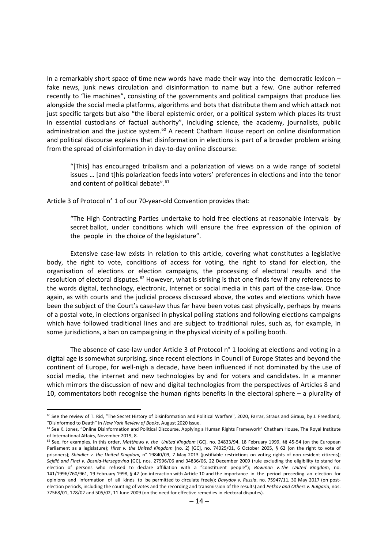In a remarkably short space of time new words have made their way into the democratic lexicon – fake news, junk news circulation and disinformation to name but a few. One author referred recently to "lie machines", consisting of the governments and political campaigns that produce lies alongside the social media platforms, algorithms and bots that distribute them and which attack not just specific targets but also "the liberal epistemic order, or a political system which places its trust in essential custodians of factual authority", including science, the academy, journalists, public administration and the justice system.<sup>60</sup> A recent Chatham House report on online disinformation and political discourse explains that disinformation in elections is part of a broader problem arising from the spread of disinformation in day-to-day online discourse:

"[This] has encouraged tribalism and a polarization of views on a wide range of societal issues … [and t]his polarization feeds into voters' preferences in elections and into the tenor and content of political debate".<sup>61</sup>

Article 3 of Protocol n° 1 of our 70-year-old Convention provides that:

"The High Contracting Parties undertake to hold free elections at reasonable intervals by secret ballot, under conditions which will ensure the free expression of the opinion of the people in the choice of the legislature".

Extensive case-law exists in relation to this article, covering what constitutes a legislative body, the right to vote, conditions of access for voting, the right to stand for election, the organisation of elections or election campaigns, the processing of electoral results and the resolution of electoral disputes.<sup>62</sup> However, what is striking is that one finds few if any references to the words digital, technology, electronic, Internet or social media in this part of the case-law. Once again, as with courts and the judicial process discussed above, the votes and elections which have been the subject of the Court's case-law thus far have been votes cast physically, perhaps by means of a postal vote, in elections organised in physical polling stations and following elections campaigns which have followed traditional lines and are subject to traditional rules, such as, for example, in some jurisdictions, a ban on campaigning in the physical vicinity of a polling booth.

The absence of case-law under Article 3 of Protocol n° 1 looking at elections and voting in a digital age is somewhat surprising, since recent elections in Council of Europe States and beyond the continent of Europe, for well-nigh a decade, have been influenced if not dominated by the use of social media, the internet and new technologies by and for voters and candidates. In a manner which mirrors the discussion of new and digital technologies from the perspectives of Articles 8 and 10, commentators both recognise the human rights benefits in the electoral sphere – a plurality of

<sup>&</sup>lt;sup>60</sup> See the review of T. Rid, "The Secret History of Disinformation and Political Warfare", 2020, Farrar, Straus and Giraux, by J. Freedland, "Disinformed to Death" in *New York Review of Books*, August 2020 issue.

<sup>&</sup>lt;sup>61</sup> See K. Jones, "Online Disinformation and Political Discourse. Applying a Human Rights Framework" Chatham House, The Royal Institute of International Affairs, November 2019, 8.

<sup>62</sup> See, for examples, in this order, *Matthews v. the United Kingdom* [GC], no. 24833/94, 18 February 1999, §§ 45-54 (on the European Parliament as a legislature); *Hirst v. the United Kingdom* (no. 2) [GC], no. 74025/01, 6 October 2005, § 62 (on the right to vote of prisoners); *Shindler v. the United Kingdom,* n° 19840/09, 7 May 2013 (justifiable restrictions on voting rights of non-resident citizens); *Sejdić and Finci v. Bosnia-Herzegovina* [GC], nos. 27996/06 and 34836/06, 22 December 2009 (rule excluding the eligibility to stand for election of persons who refused to declare affiliation with a "constituent people"); *Bowman v. the United Kingdom*, no. 141/1996/760/961, 19 February 1998, § 42 (on interaction with Article 10 and the importance in the period preceding an election for opinions and information of all kinds to be permitted to circulate freely); *Davydov v. Russia*, no. 75947/11, 30 May 2017 (on postelection periods, including the counting of votes and the recording and transmission of the results) and *Petkov and Others v. Bulgaria*, nos. 77568/01, 178/02 and 505/02, 11 June 2009 (on the need for effective remedies in electoral disputes).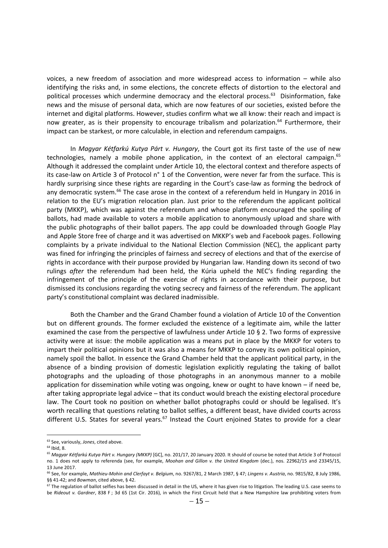voices, a new freedom of association and more widespread access to information – while also identifying the risks and, in some elections, the concrete effects of distortion to the electoral and political processes which undermine democracy and the electoral process.<sup>63</sup> Disinformation, fake news and the misuse of personal data, which are now features of our societies, existed before the internet and digital platforms. However, studies confirm what we all know: their reach and impact is now greater, as is their propensity to encourage tribalism and polarization.<sup>64</sup> Furthermore, their impact can be starkest, or more calculable, in election and referendum campaigns.

In *Magyar Kétfarkú Kutya Párt v. Hungary*, the Court got its first taste of the use of new technologies, namely a mobile phone application, in the context of an electoral campaign.<sup>65</sup> Although it addressed the complaint under Article 10, the electoral context and therefore aspects of its case-law on Article 3 of Protocol n° 1 of the Convention, were never far from the surface. This is hardly surprising since these rights are regarding in the Court's case-law as forming the bedrock of any democratic system.<sup>66</sup> The case arose in the context of a referendum held in Hungary in 2016 in relation to the EU's migration relocation plan. Just prior to the referendum the applicant political party (MKKP), which was against the referendum and whose platform encouraged the spoiling of ballots, had made available to voters a mobile application to anonymously upload and share with the public photographs of their ballot papers. The app could be downloaded through Google Play and Apple Store free of charge and it was advertised on MKKP's web and Facebook pages. Following complaints by a private individual to the National Election Commission (NEC), the applicant party was fined for infringing the principles of fairness and secrecy of elections and that of the exercise of rights in accordance with their purpose provided by Hungarian law. Handing down its second of two rulings *after* the referendum had been held, the Kúria upheld the NEC's finding regarding the infringement of the principle of the exercise of rights in accordance with their purpose, but dismissed its conclusions regarding the voting secrecy and fairness of the referendum. The applicant party's constitutional complaint was declared inadmissible.

Both the Chamber and the Grand Chamber found a violation of Article 10 of the Convention but on different grounds. The former excluded the existence of a legitimate aim, while the latter examined the case from the perspective of lawfulness under Article 10 § 2. Two forms of expressive activity were at issue: the mobile application was a means put in place by the MKKP for voters to impart their political opinions but it was also a means for MKKP to convey its own political opinion, namely spoil the ballot. In essence the Grand Chamber held that the applicant political party, in the absence of a binding provision of domestic legislation explicitly regulating the taking of ballot photographs and the uploading of those photographs in an anonymous manner to a mobile application for dissemination while voting was ongoing, knew or ought to have known – if need be, after taking appropriate legal advice – that its conduct would breach the existing electoral procedure law. The Court took no position on whether ballot photographs could or should be legalised. It's worth recalling that questions relating to ballot selfies, a different beast, have divided courts across different U.S. States for several years.<sup>67</sup> Instead the Court enjoined States to provide for a clear

 <sup>63</sup> See, variously, *Jones*, cited above.

 $64$  Ibid, 8.

<sup>65</sup> *Magyar Kétfarkú Kutya Párt v. Hungary (MKKP)* [GC], no. 201/17, 20 January 2020. It should of course be noted that Article 3 of Protocol no. 1 does not apply to referenda (see, for example, *Moohan and Gillon v. the United Kingdom* (dec.), nos. 22962/15 and 23345/15, <sup>13</sup> June 2017. 66 See, for example, *Mathieu-Mohin and Clerfayt v. Belgium*, no. 9267/81, 2 March 1987, § 47; *Lingens v. Austria*, no. 9815/82, 8 July 1986,

<sup>§§ 41-42;</sup> and *Bowman*, cited above, § 42.

 $67$  The regulation of ballot selfies has been discussed in detail in the US, where it has given rise to litigation. The leading U.S. case seems to be *Rideout v. Gardner*, 838 F; 3d 65 (1st Cir. 2016), in which the First Circuit held that a New Hampshire law prohibiting voters from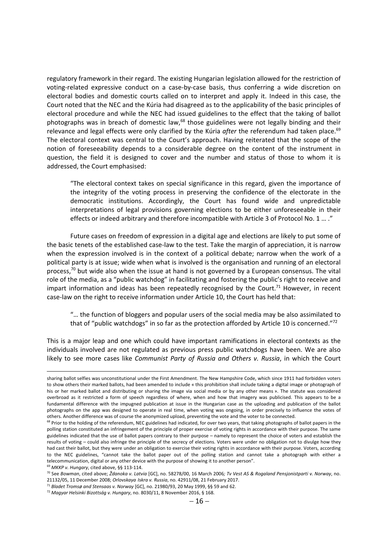regulatory framework in their regard. The existing Hungarian legislation allowed for the restriction of voting-related expressive conduct on a case-by-case basis, thus conferring a wide discretion on electoral bodies and domestic courts called on to interpret and apply it. Indeed in this case, the Court noted that the NEC and the Kúria had disagreed as to the applicability of the basic principles of electoral procedure and while the NEC had issued guidelines to the effect that the taking of ballot photographs was in breach of domestic law,<sup>68</sup> those guidelines were not legally binding and their relevance and legal effects were only clarified by the Kúria *after* the referendum had taken place.<sup>69</sup> The electoral context was central to the Court's approach. Having reiterated that the scope of the notion of foreseeability depends to a considerable degree on the content of the instrument in question, the field it is designed to cover and the number and status of those to whom it is addressed, the Court emphasised:

"The electoral context takes on special significance in this regard, given the importance of the integrity of the voting process in preserving the confidence of the electorate in the democratic institutions. Accordingly, the Court has found wide and unpredictable interpretations of legal provisions governing elections to be either unforeseeable in their effects or indeed arbitrary and therefore incompatible with Article 3 of Protocol No. 1 … ."

Future cases on freedom of expression in a digital age and elections are likely to put some of the basic tenets of the established case-law to the test. Take the margin of appreciation, it is narrow when the expression involved is in the context of a political debate; narrow when the work of a political party is at issue; wide when what is involved is the organisation and running of an electoral process, $70$  but wide also when the issue at hand is not governed by a European consensus. The vital role of the media, as a "public watchdog" in facilitating and fostering the public's right to receive and impart information and ideas has been repeatedly recognised by the Court.<sup>71</sup> However, in recent case-law on the right to receive information under Article 10, the Court has held that:

"… the function of bloggers and popular users of the social media may be also assimilated to that of "public watchdogs" in so far as the protection afforded by Article 10 is concerned." $72$ 

This is a major leap and one which could have important ramifications in electoral contexts as the individuals involved are not regulated as previous press public watchdogs have been. We are also likely to see more cases like *Communist Party of Russia and Others v. Russia*, in which the Court

sharing ballot selfies was unconstitutional under the First Amendment. The New Hampshire Code, which since 1911 had forbidden voters to show others their marked ballots, had been amended to include « this prohibition shall include taking a digital image or photograph of his or her marked ballot and distributing or sharing the image via social media or by any other means ». The statute was considered overbroad as it restricted a form of speech regardless of where, when and how that imagery was publicised. This appears to be a fundamental difference with the impugned publication at issue in the Hungarian case as the uploading and publication of the ballot photographs on the app was designed to operate in real time, when voting was ongoing, in order precisely to influence the votes of others. Another difference was of course the anonymized upload, preventing the vote and the voter to be connected.

<sup>&</sup>lt;sup>68</sup> Prior to the holding of the referendum, NEC guidelines had indicated, for over two years, that taking photographs of ballot papers in the polling station constituted an infringement of the principle of proper exercise of voting rights in accordance with their purpose. The same guidelines indicated that the use of ballot papers contrary to their purpose – namely to represent the choice of voters and establish the results of voting – could also infringe the principle of the secrecy of elections. Voters were under no obligation not to divulge how they had cast their ballot, but they were under an obligation to exercise their voting rights in accordance with their purpose. Voters, according to the NEC guidelines, "cannot take the ballot paper out of the polling station and cannot take a photograph with either a telecommunication, digital or any other device with the purpose of showing it to another person".

<sup>69</sup> *MKKP v. Hungary*, cited above, §§ 113-114.

<sup>70</sup> See *Bowman*, cited above; *Ždanoka v. Latvia* [GC], no. 58278/00, 16 March 2006*; Tv Vest AS & Rogaland Pensjonistparti v. Norway*, no. 21132/05, 11 December 2008; *Orlovskaya Iskra v. Russia*, no. 42911/08, 21 February 2017.

<sup>71</sup> *Bladet Tromsø and Stensaas v. Norway* [GC], no. 21980/93, 20 May 1999, §§ 59 and 62.

<sup>72</sup> *Magyar Helsinki Bizottság v. Hungary*, no. 8030/11, 8 November 2016, § 168.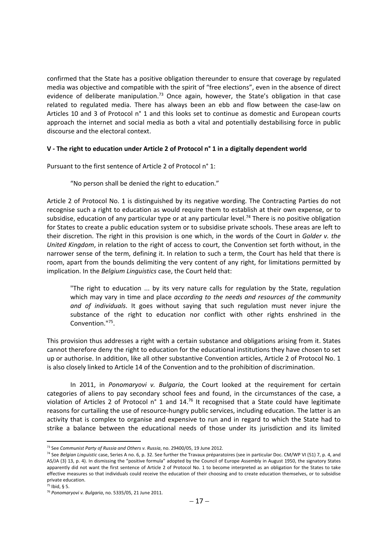confirmed that the State has a positive obligation thereunder to ensure that coverage by regulated media was objective and compatible with the spirit of "free elections", even in the absence of direct evidence of deliberate manipulation.<sup>73</sup> Once again, however, the State's obligation in that case related to regulated media. There has always been an ebb and flow between the case-law on Articles 10 and 3 of Protocol n° 1 and this looks set to continue as domestic and European courts approach the internet and social media as both a vital and potentially destabilising force in public discourse and the electoral context.

### **V - The right to education under Article 2 of Protocol n° 1 in a digitally dependent world**

Pursuant to the first sentence of Article 2 of Protocol n° 1:

"No person shall be denied the right to education."

Article 2 of Protocol No. 1 is distinguished by its negative wording. The Contracting Parties do not recognise such a right to education as would require them to establish at their own expense, or to subsidise, education of any particular type or at any particular level.<sup>74</sup> There is no positive obligation for States to create a public education system or to subsidise private schools. These areas are left to their discretion. The right in this provision is one which, in the words of the Court in *Golder v. the United Kingdom*, in relation to the right of access to court, the Convention set forth without, in the narrower sense of the term, defining it. In relation to such a term, the Court has held that there is room, apart from the bounds delimiting the very content of any right, for limitations permitted by implication. In the *Belgium Linguistics* case, the Court held that:

"The right to education ... by its very nature calls for regulation by the State, regulation which may vary in time and place *according to the needs and resources of the community and of individuals*. It goes without saying that such regulation must never injure the substance of the right to education nor conflict with other rights enshrined in the Convention."75.

This provision thus addresses a right with a certain substance and obligations arising from it. States cannot therefore deny the right to education for the educational institutions they have chosen to set up or authorise. In addition, like all other substantive Convention articles, Article 2 of Protocol No. 1 is also closely linked to Article 14 of the Convention and to the prohibition of discrimination.

In 2011, in *Ponomaryovi v. Bulgaria*, the Court looked at the requirement for certain categories of aliens to pay secondary school fees and found, in the circumstances of the case, a violation of Articles 2 of Protocol n° 1 and 14.<sup>76</sup> It recognised that a State could have legitimate reasons for curtailing the use of resource-hungry public services, including education. The latter is an activity that is complex to organise and expensive to run and in regard to which the State had to strike a balance between the educational needs of those under its jurisdiction and its limited

 <sup>73</sup> See *Communist Party of Russia and Others v. Russia*, no. 29400/05, 19 June 2012.

<sup>74</sup> See *Belgian Linguistic* case, Series A no. 6, p. 32. See further the Travaux préparatoires (see in particular Doc. CM/WP VI (51) 7, p. 4, and AS/JA (3) 13, p. 4). In dismissing the "positive formula" adopted by the Council of Europe Assembly in August 1950, the signatory States apparently did not want the first sentence of Article 2 of Protocol No. 1 to become interpreted as an obligation for the States to take effective measures so that individuals could receive the education of their choosing and to create education themselves, or to subsidise private education.

 $75$  Ibid, § 5.

<sup>76</sup> *Ponomaryovi v. Bulgaria*, no. 5335/05, 21 June 2011.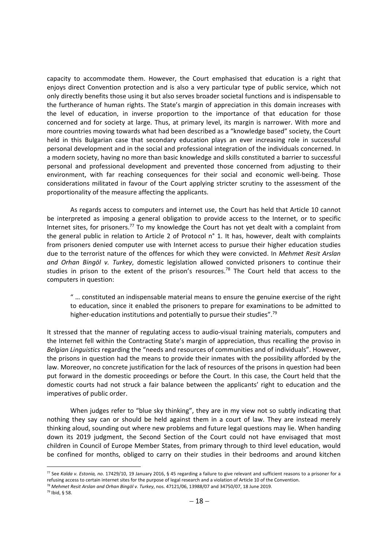capacity to accommodate them. However, the Court emphasised that education is a right that enjoys direct Convention protection and is also a very particular type of public service, which not only directly benefits those using it but also serves broader societal functions and is indispensable to the furtherance of human rights. The State's margin of appreciation in this domain increases with the level of education, in inverse proportion to the importance of that education for those concerned and for society at large. Thus, at primary level, its margin is narrower. With more and more countries moving towards what had been described as a "knowledge based" society, the Court held in this Bulgarian case that secondary education plays an ever increasing role in successful personal development and in the social and professional integration of the individuals concerned. In a modern society, having no more than basic knowledge and skills constituted a barrier to successful personal and professional development and prevented those concerned from adjusting to their environment, with far reaching consequences for their social and economic well-being. Those considerations militated in favour of the Court applying stricter scrutiny to the assessment of the proportionality of the measure affecting the applicants.

As regards access to computers and internet use, the Court has held that Article 10 cannot be interpreted as imposing a general obligation to provide access to the Internet, or to specific Internet sites, for prisoners.<sup>77</sup> To my knowledge the Court has not yet dealt with a complaint from the general public in relation to Article 2 of Protocol n° 1. It has, however, dealt with complaints from prisoners denied computer use with Internet access to pursue their higher education studies due to the terrorist nature of the offences for which they were convicted. In *Mehmet Resit Arslan and Orhan Bingöl v. Turkey*, domestic legislation allowed convicted prisoners to continue their studies in prison to the extent of the prison's resources.<sup>78</sup> The Court held that access to the computers in question:

" … constituted an indispensable material means to ensure the genuine exercise of the right to education, since it enabled the prisoners to prepare for examinations to be admitted to higher-education institutions and potentially to pursue their studies".<sup>79</sup>

It stressed that the manner of regulating access to audio-visual training materials, computers and the Internet fell within the Contracting State's margin of appreciation, thus recalling the proviso in *Belgian Linguistics* regarding the "needs and resources of communities and of individuals". However, the prisons in question had the means to provide their inmates with the possibility afforded by the law. Moreover, no concrete justification for the lack of resources of the prisons in question had been put forward in the domestic proceedings or before the Court. In this case, the Court held that the domestic courts had not struck a fair balance between the applicants' right to education and the imperatives of public order.

When judges refer to "blue sky thinking", they are in my view not so subtly indicating that nothing they say can or should be held against them in a court of law. They are instead merely thinking aloud, sounding out where new problems and future legal questions may lie. When handing down its 2019 judgment, the Second Section of the Court could not have envisaged that most children in Council of Europe Member States, from primary through to third level education, would be confined for months, obliged to carry on their studies in their bedrooms and around kitchen

 <sup>77</sup> See *Kalda v. Estonia, no.* 17429/10, 19 January 2016, § 45 regarding a failure to give relevant and sufficient reasons to a prisoner for a refusing access to certain internet sites for the purpose of legal research and a violation of Article 10 of the Convention.

<sup>78</sup> *Mehmet Resit Arslan and Orhan Bingöl v. Turkey*, nos. 47121/06, 13988/07 and 34750/07, 18 June 2019.

<sup>79</sup> Ibid, § 58.